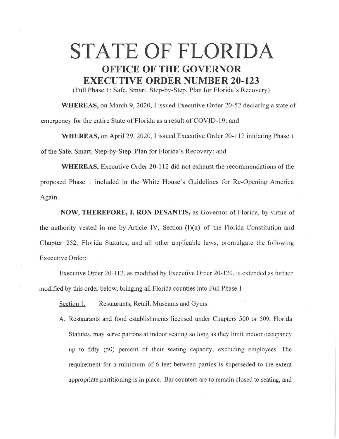## **STATE OF FLORIDA OFFICE OF THE GOVERNOR EXECUTIVE ORDER NUMBER 20-123**

(Full Phase I: Safe. Smart. Step-by-Step. Plan for Florida's Recovery)

**WHEREAS,** on March 9, 2020, I issued Executive Order 20-52 declaring a state of emergency for the entire State of Florida as a result of COVID-19; and

**WHEREAS,** on April 29, 2020, I issued Executive Order 20-112 initiating Phase l of the Safe. Smart. Step-by-Step. Plan for Florida's Recovery; and

**WHEREAS,** Executive Order 20-112 did not exhaust the recommendations of the proposed Phase 1 included in the White House's Guidelines for Re-Opening America Again.

**NOW, THEREFORE, I, RON DESANTIS,** as Governor of Florida, by virtue of the authority vested in me by Article IV, Section (I)(a) of the Florida Constitution and Chapter 252, Florida Statutes, and all other applicable laws, promulgate the following Executive Order:

Executive Order 20-112, as modified by Executive Order 20-120, is extended as further modified by this order below, bringing all Florida counties into Full Phase 1.

Section 1. Restaurants, Retail, Museums and Gyms

A. Restaurants and food establishments licensed under Chapters 500 or 509, Florida Statutes, may serve patrons at indoor seating so long as they limit indoor occupancy up to fifty (50) percent of their seating capacity, excluding employees. The requirement for a minimum of 6 feet between parties is superseded to the extent appropriate partitioning is in place. Bar counters are to remain closed to seating, and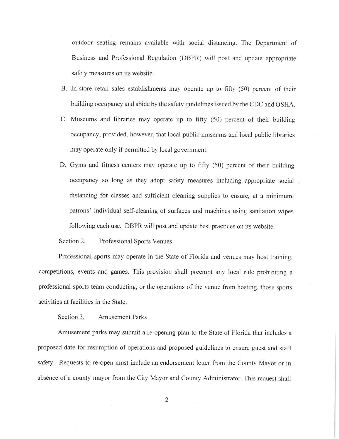outdoor seating remains available with social distancing. The Department of Business and Professional Regulation (DBPR) will post and update appropriate safety measures on its website.

- B. In-store retail sales establishments may operate up to fifty (50) percent of their building occupancy and abide by the safety guidelines issued by the CDC and OSHA.
- C. Museums and libraries may operate up to fifty (50) percent of their building occupancy, provided, however, that local public museums and local public libraries may operate only if permitted by local government.
- D. Gyms and fitness centers may operate up to fifty (50) percent of their building occupancy so long as they adopt safety measures including appropriate social distancing for classes and sufficient cleaning supplies to ensure, at a minimum, patrons' individual self-cleaning of surfaces and machines using sanitation wipes following each use. DBPR will post and update best practices on its website.

## Section 2. Professional Sports Venues

Professional sports may operate in the State of Florida and venues may host training, competitions, events and games. This provision shall preempt any local rule prohibiting a professional sports team conducting, or the operations of the venue from hosting, those sports activities at facilities in the State.

## Section 3. Amusement Parks

Amusement parks may submit a re-opening plan to the State of Florida that includes a proposed date for resumption of operations and proposed guidelines to ensure guest and staff safety. Requests to re-open must include an endorsement letter from the County Mayor or in absence of a county mayor from the City Mayor and County Administrator. This request shall